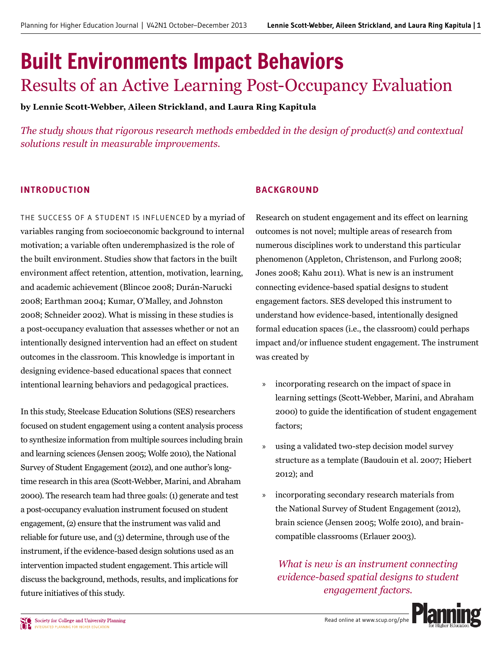# Built Environments Impact Behaviors Results of an Active Learning Post-Occupancy Evaluation

**by Lennie Scott-Webber, Aileen Strickland, and Laura Ring Kapitula**

*The study shows that rigorous research methods embedded in the design of product(s) and contextual solutions result in measurable improvements.*

# **INTRODUCTION**

THE SUCCESS OF A STUDENT IS INFLUENCED by a myriad of variables ranging from socioeconomic background to internal motivation; a variable often underemphasized is the role of the built environment. Studies show that factors in the built environment affect retention, attention, motivation, learning, and academic achievement (Blincoe 2008; Durán-Narucki 2008; Earthman 2004; Kumar, O'Malley, and Johnston 2008; Schneider 2002). What is missing in these studies is a post-occupancy evaluation that assesses whether or not an intentionally designed intervention had an effect on student outcomes in the classroom. This knowledge is important in designing evidence-based educational spaces that connect intentional learning behaviors and pedagogical practices.

In this study, Steelcase Education Solutions (SES) researchers focused on student engagement using a content analysis process to synthesize information from multiple sources including brain and learning sciences (Jensen 2005; Wolfe 2010), the National Survey of Student Engagement (2012), and one author's longtime research in this area (Scott-Webber, Marini, and Abraham 2000). The research team had three goals: (1) generate and test a post-occupancy evaluation instrument focused on student engagement, (2) ensure that the instrument was valid and reliable for future use, and  $(3)$  determine, through use of the instrument, if the evidence-based design solutions used as an intervention impacted student engagement. This article will discuss the background, methods, results, and implications for future initiatives of this study.

# **BACKGROUND**

Research on student engagement and its effect on learning outcomes is not novel; multiple areas of research from numerous disciplines work to understand this particular phenomenon (Appleton, Christenson, and Furlong 2008; Jones 2008; Kahu 2011). What is new is an instrument connecting evidence-based spatial designs to student engagement factors. SES developed this instrument to understand how evidence-based, intentionally designed formal education spaces (i.e., the classroom) could perhaps impact and/or influence student engagement. The instrument was created by

- » incorporating research on the impact of space in learning settings (Scott-Webber, Marini, and Abraham 2000) to guide the identification of student engagement factors;
- » using a validated two-step decision model survey structure as a template (Baudouin et al. 2007; Hiebert 2012); and
- » incorporating secondary research materials from the National Survey of Student Engagement (2012), brain science (Jensen 2005; Wolfe 2010), and braincompatible classrooms (Erlauer 2003).

*What is new is an instrument connecting evidence-based spatial designs to student engagement factors.*

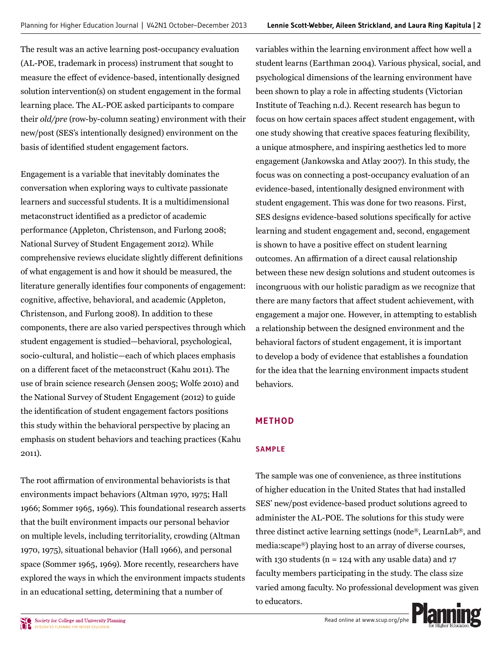The result was an active learning post-occupancy evaluation (AL-POE, trademark in process) instrument that sought to measure the effect of evidence-based, intentionally designed solution intervention(s) on student engagement in the formal learning place. The AL-POE asked participants to compare their *old/pre* (row-by-column seating) environment with their new/post (SES's intentionally designed) environment on the basis of identified student engagement factors.

Engagement is a variable that inevitably dominates the conversation when exploring ways to cultivate passionate learners and successful students. It is a multidimensional metaconstruct identified as a predictor of academic performance (Appleton, Christenson, and Furlong 2008; National Survey of Student Engagement 2012). While comprehensive reviews elucidate slightly different definitions of what engagement is and how it should be measured, the literature generally identifies four components of engagement: cognitive, affective, behavioral, and academic (Appleton, Christenson, and Furlong 2008). In addition to these components, there are also varied perspectives through which student engagement is studied—behavioral, psychological, socio-cultural, and holistic—each of which places emphasis on a different facet of the metaconstruct (Kahu 2011). The use of brain science research (Jensen 2005; Wolfe 2010) and the National Survey of Student Engagement (2012) to guide the identification of student engagement factors positions this study within the behavioral perspective by placing an emphasis on student behaviors and teaching practices (Kahu  $2011$ ).

The root affirmation of environmental behaviorists is that environments impact behaviors (Altman 1970, 1975; Hall 1966; Sommer 1965, 1969). This foundational research asserts that the built environment impacts our personal behavior on multiple levels, including territoriality, crowding (Altman 1970, 1975), situational behavior (Hall 1966), and personal space (Sommer 1965, 1969). More recently, researchers have explored the ways in which the environment impacts students in an educational setting, determining that a number of

variables within the learning environment affect how well a student learns (Earthman 2004). Various physical, social, and psychological dimensions of the learning environment have been shown to play a role in affecting students (Victorian Institute of Teaching n.d.). Recent research has begun to focus on how certain spaces affect student engagement, with one study showing that creative spaces featuring flexibility, a unique atmosphere, and inspiring aesthetics led to more engagement (Jankowska and Atlay 2007). In this study, the focus was on connecting a post-occupancy evaluation of an evidence-based, intentionally designed environment with student engagement. This was done for two reasons. First, SES designs evidence-based solutions specifically for active learning and student engagement and, second, engagement is shown to have a positive effect on student learning outcomes. An affirmation of a direct causal relationship between these new design solutions and student outcomes is incongruous with our holistic paradigm as we recognize that there are many factors that affect student achievement, with engagement a major one. However, in attempting to establish a relationship between the designed environment and the behavioral factors of student engagement, it is important to develop a body of evidence that establishes a foundation for the idea that the learning environment impacts student behaviors.

# **METHOD**

## **SAMPLE**

The sample was one of convenience, as three institutions of higher education in the United States that had installed SES' new/post evidence-based product solutions agreed to administer the AL-POE. The solutions for this study were three distinct active learning settings (node®, LearnLab®, and media: $\text{scape}$ <sup>®</sup>) playing host to an array of diverse courses, with 130 students ( $n = 124$  with any usable data) and 17 faculty members participating in the study. The class size varied among faculty. No professional development was given to educators.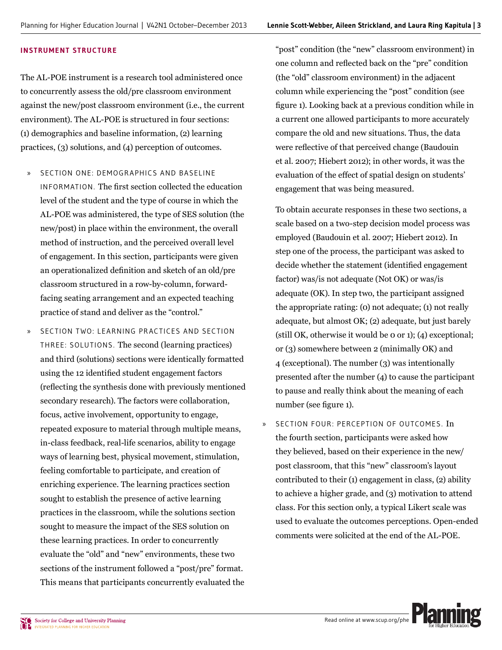### **INSTRUMENT STRUCTURE**

The AL-POE instrument is a research tool administered once to concurrently assess the old/pre classroom environment against the new/post classroom environment (i.e., the current environment). The AL-POE is structured in four sections:  $(1)$  demographics and baseline information,  $(2)$  learning practices,  $(3)$  solutions, and  $(4)$  perception of outcomes.

- » SECTION ONE: DEMOGR APHICS AND BASELINE INFORMATION. The first section collected the education level of the student and the type of course in which the AL-POE was administered, the type of SES solution (the new/post) in place within the environment, the overall method of instruction, and the perceived overall level of engagement. In this section, participants were given an operationalized definition and sketch of an old/pre classroom structured in a row-by-column, forwardfacing seating arrangement and an expected teaching practice of stand and deliver as the "control."
- SECTION TWO: LEARNING PRACTICES AND SECTION THREE: SOLUTIONS. The second (learning practices) and third (solutions) sections were identically formatted using the 12 identified student engagement factors (reflecting the synthesis done with previously mentioned secondary research). The factors were collaboration, focus, active involvement, opportunity to engage, repeated exposure to material through multiple means, in-class feedback, real-life scenarios, ability to engage ways of learning best, physical movement, stimulation, feeling comfortable to participate, and creation of enriching experience. The learning practices section sought to establish the presence of active learning practices in the classroom, while the solutions section sought to measure the impact of the SES solution on these learning practices. In order to concurrently evaluate the "old" and "new" environments, these two sections of the instrument followed a "post/pre" format. This means that participants concurrently evaluated the

"post" condition (the "new" classroom environment) in one column and reflected back on the "pre" condition (the "old" classroom environment) in the adjacent column while experiencing the "post" condition (see figure 1). Looking back at a previous condition while in a current one allowed participants to more accurately compare the old and new situations. Thus, the data were reflective of that perceived change (Baudouin et al. 2007; Hiebert 2012); in other words, it was the evaluation of the effect of spatial design on students' engagement that was being measured.

To obtain accurate responses in these two sections, a scale based on a two-step decision model process was employed (Baudouin et al. 2007; Hiebert 2012). In step one of the process, the participant was asked to decide whether the statement (identified engagement factor) was/is not adequate (Not OK) or was/is adequate (OK). In step two, the participant assigned the appropriate rating: (o) not adequate; (1) not really adequate, but almost OK; (2) adequate, but just barely (still OK, otherwise it would be  $o$  or 1); (4) exceptional; or  $(3)$  somewhere between 2 (minimally OK) and  $\overline{4}$  (exceptional). The number (3) was intentionally presented after the number (4) to cause the participant to pause and really think about the meaning of each number (see figure 1).

SECTION FOUR: PERCEPTION OF OUTCOMES. In the fourth section, participants were asked how they believed, based on their experience in the new/ post classroom, that this "new" classroom's layout contributed to their  $(1)$  engagement in class,  $(2)$  ability to achieve a higher grade, and (3) motivation to attend class. For this section only, a typical Likert scale was used to evaluate the outcomes perceptions. Open-ended comments were solicited at the end of the AL-POE.

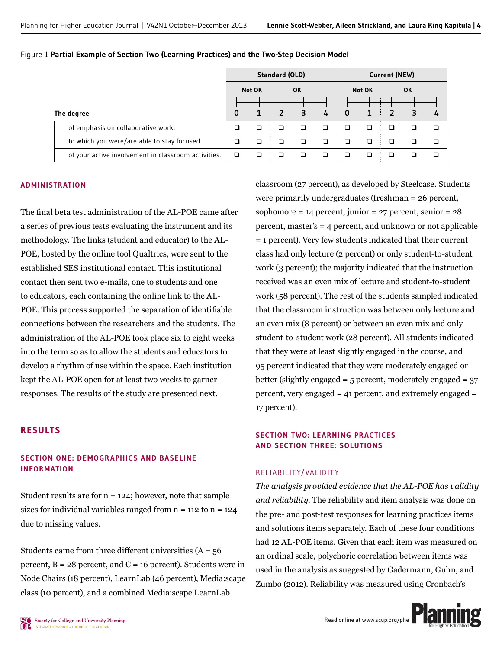|                                                     | <b>Standard (OLD)</b> |              |    |           | <b>Current (NEW)</b> |             |               |  |    |                |
|-----------------------------------------------------|-----------------------|--------------|----|-----------|----------------------|-------------|---------------|--|----|----------------|
|                                                     |                       | Not OK       |    | <b>OK</b> |                      |             | <b>Not OK</b> |  | OK |                |
|                                                     |                       |              |    |           |                      |             |               |  |    |                |
| The degree:                                         | 0                     | $\mathbf{1}$ |    | 3         | 4                    | $\mathbf 0$ | 1             |  |    | $\overline{4}$ |
| of emphasis on collaborative work.                  |                       | □            |    |           |                      | ◻           | ◻             |  |    | $\Box$         |
| to which you were/are able to stay focused.         |                       |              | -1 |           |                      |             | ◻             |  |    | □              |
| of your active involvement in classroom activities. | □                     |              |    |           |                      |             |               |  |    | ר              |

|  |  |  |  | Figure 1 Partial Example of Section Two (Learning Practices) and the Two-Step Decision Model |  |  |  |
|--|--|--|--|----------------------------------------------------------------------------------------------|--|--|--|
|  |  |  |  |                                                                                              |  |  |  |

#### **ADMINISTRATION**

The final beta test administration of the AL-POE came after a series of previous tests evaluating the instrument and its methodology. The links (student and educator) to the AL-POE, hosted by the online tool Qualtrics, were sent to the established SES institutional contact. This institutional contact then sent two e-mails, one to students and one to educators, each containing the online link to the AL-POE. This process supported the separation of identifiable connections between the researchers and the students. The administration of the AL-POE took place six to eight weeks into the term so as to allow the students and educators to develop a rhythm of use within the space. Each institution kept the AL-POE open for at least two weeks to garner responses. The results of the study are presented next.

### **RESULTS**

### **SECTION ONE: DEMOGRAPHICS AND BASELINE INFORMATION**

Student results are for  $n = 124$ ; however, note that sample sizes for individual variables ranged from  $n = 112$  to  $n = 124$ due to missing values.

Students came from three different universities  $(A = 56$ percent,  $B = 28$  percent, and  $C = 16$  percent). Students were in Node Chairs (18 percent), LearnLab (46 percent), Media: scape class (10 percent), and a combined Media: scape LearnLab

classroom (27 percent), as developed by Steelcase. Students were primarily undergraduates (freshman =  $26$  percent, sophomore =  $14$  percent, junior =  $27$  percent, senior =  $28$ percent, master's  $=$  4 percent, and unknown or not applicable  $=$  1 percent). Very few students indicated that their current class had only lecture (2 percent) or only student-to-student work (3 percent); the majority indicated that the instruction received was an even mix of lecture and student-to-student work (58 percent). The rest of the students sampled indicated that the classroom instruction was between only lecture and an even mix (8 percent) or between an even mix and only student-to-student work (28 percent). All students indicated that they were at least slightly engaged in the course, and 95 percent indicated that they were moderately engaged or better (slightly engaged =  $5$  percent, moderately engaged =  $37$ percent, very engaged = 41 percent, and extremely engaged = 17 percent).

### **SECTION TWO: LEARNING PRACTICES AND SECTION THREE: SOLUTIONS**

#### RELIABILIT Y/VALIDIT Y

*The analysis provided evidence that the AL-POE has validity and reliability.* The reliability and item analysis was done on the pre- and post-test responses for learning practices items and solutions items separately. Each of these four conditions had 12 AL-POE items. Given that each item was measured on an ordinal scale, polychoric correlation between items was used in the analysis as suggested by Gadermann, Guhn, and Zumbo (2012). Reliability was measured using Cronbach's

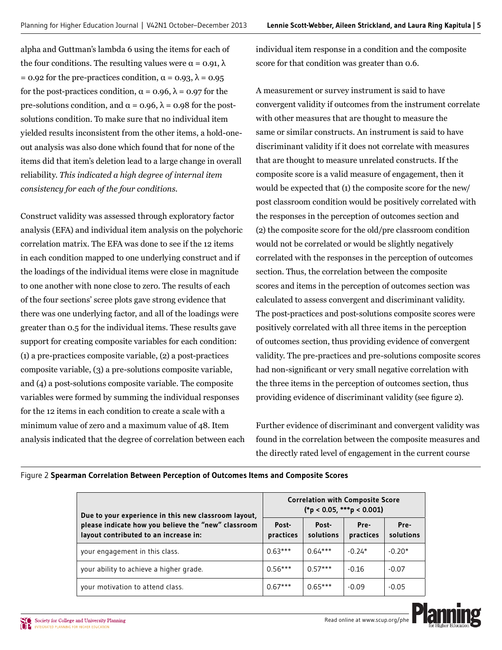alpha and Guttman's lambda 6 using the items for each of the four conditions. The resulting values were  $\alpha = 0.91$ ,  $\lambda$ = 0.92 for the pre-practices condition,  $\alpha$  = 0.93,  $\lambda$  = 0.95 for the post-practices condition,  $\alpha = 0.96$ ,  $\lambda = 0.97$  for the pre-solutions condition, and  $\alpha = 0.96$ ,  $\lambda = 0.98$  for the postsolutions condition. To make sure that no individual item vielded results inconsistent from the other items, a hold-oneout analysis was also done which found that for none of the items did that item's deletion lead to a large change in overall reliability. *This indicated a high degree of internal item consistency for each of the four conditions.*

Construct validity was assessed through exploratory factor analysis (EFA) and individual item analysis on the polychoric correlation matrix. The EFA was done to see if the 12 items in each condition mapped to one underlying construct and if the loadings of the individual items were close in magnitude to one another with none close to zero. The results of each of the four sections' scree plots gave strong evidence that there was one underlying factor, and all of the loadings were greater than 0.5 for the individual items. These results gave support for creating composite variables for each condition:  $(1)$  a pre-practices composite variable,  $(2)$  a post-practices composite variable, (3) a pre-solutions composite variable, and (4) a post-solutions composite variable. The composite variables were formed by summing the individual responses for the 12 items in each condition to create a scale with a minimum value of zero and a maximum value of 48. Item analysis indicated that the degree of correlation between each individual item response in a condition and the composite score for that condition was greater than 0.6.

A measurement or survey instrument is said to have convergent validity if outcomes from the instrument correlate with other measures that are thought to measure the same or similar constructs. An instrument is said to have discriminant validity if it does not correlate with measures that are thought to measure unrelated constructs. If the composite score is a valid measure of engagement, then it would be expected that (1) the composite score for the new/ post classroom condition would be positively correlated with the responses in the perception of outcomes section and (2) the composite score for the old/pre classroom condition would not be correlated or would be slightly negatively correlated with the responses in the perception of outcomes section. Thus, the correlation between the composite scores and items in the perception of outcomes section was calculated to assess convergent and discriminant validity. The post-practices and post-solutions composite scores were positively correlated with all three items in the perception of outcomes section, thus providing evidence of convergent validity. The pre-practices and pre-solutions composite scores had non-significant or very small negative correlation with the three items in the perception of outcomes section, thus providing evidence of discriminant validity (see figure 2).

Further evidence of discriminant and convergent validity was found in the correlation between the composite measures and the directly rated level of engagement in the current course

| Due to your experience in this new classroom layout,                                         | <b>Correlation with Composite Score</b><br>$(*p < 0.05, **p < 0.001)$ |                    |                   |                   |  |  |
|----------------------------------------------------------------------------------------------|-----------------------------------------------------------------------|--------------------|-------------------|-------------------|--|--|
| please indicate how you believe the "new" classroom<br>layout contributed to an increase in: | Post-<br>practices                                                    | Post-<br>solutions | Pre-<br>practices | Pre-<br>solutions |  |  |
| your engagement in this class.                                                               | $0.63***$                                                             | $0.64***$          | $-0.24*$          | $-0.20*$          |  |  |
| your ability to achieve a higher grade.                                                      | $0.56***$                                                             | $0.57***$          | $-0.16$           | $-0.07$           |  |  |
| your motivation to attend class.                                                             | $0.67***$                                                             | $0.65***$          | $-0.09$           | $-0.05$           |  |  |

Figure 2 **Spearman Correlation Between Perception of Outcomes Items and Composite Scores**

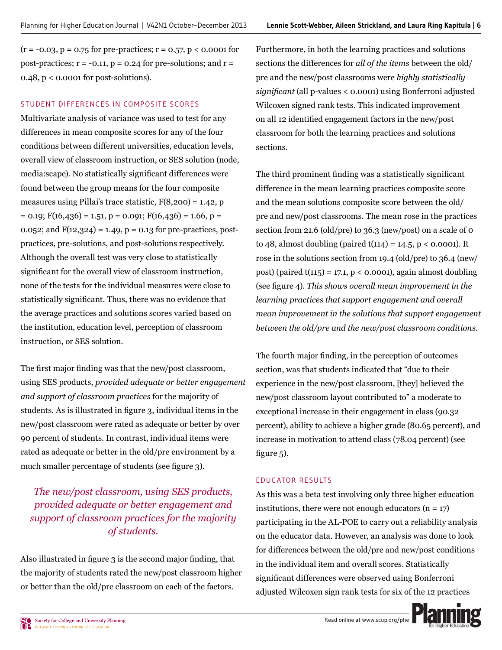$(r = -0.03, p = 0.75$  for pre-practices;  $r = 0.57, p < 0.0001$  for post-practices;  $r = -0.11$ ,  $p = 0.24$  for pre-solutions; and  $r =$  $0.48$ ,  $p < 0.0001$  for post-solutions).

### STUDENT DIFFERENCES IN COMPOSITE SCORES

Multivariate analysis of variance was used to test for any differences in mean composite scores for any of the four conditions between different universities, education levels, overall view of classroom instruction, or SES solution (node, media: scape). No statistically significant differences were found between the group means for the four composite measures using Pillai's trace statistic,  $F(8,200) = 1.42$ , p  $= 0.19$ ; F(16,436) = 1.51, p = 0.091; F(16,436) = 1.66, p = 0.052; and  $F(12,324) = 1.49$ ,  $p = 0.13$  for pre-practices, postpractices, pre-solutions, and post-solutions respectively. Although the overall test was very close to statistically significant for the overall view of classroom instruction, none of the tests for the individual measures were close to statistically significant. Thus, there was no evidence that the average practices and solutions scores varied based on the institution, education level, perception of classroom instruction, or SES solution.

The first major finding was that the new/post classroom, using SES products, provided adequate or better engagement and support of classroom practices for the majority of students. As is illustrated in figure 3, individual items in the new/post classroom were rated as adequate or better by over 90 percent of students. In contrast, individual items were rated as adequate or better in the old/pre environment by a much smaller percentage of students (see figure 3).

# The new/post classroom, using SES products, provided adequate or better engagement and support of classroom practices for the majority of students.

Also illustrated in figure 3 is the second major finding, that the majority of students rated the new/post classroom higher or better than the old/pre classroom on each of the factors.

Furthermore, in both the learning practices and solutions sections the differences for all of the items between the old/ pre and the new/post classrooms were highly statistically significant (all p-values < 0.0001) using Bonferroni adjusted Wilcoxen signed rank tests. This indicated improvement on all 12 identified engagement factors in the new/post classroom for both the learning practices and solutions sections.

The third prominent finding was a statistically significant difference in the mean learning practices composite score and the mean solutions composite score between the old/ pre and new/post classrooms. The mean rose in the practices section from 21.6 (old/pre) to 36.3 (new/post) on a scale of o to 48, almost doubling (paired  $t(114) = 14.5$ , p < 0.0001). It rose in the solutions section from 19.4 (old/pre) to 36.4 (new/ post) (paired  $t(115) = 17.1$ ,  $p < 0.0001$ ), again almost doubling (see figure 4). This shows overall mean improvement in the learning practices that support engagement and overall mean improvement in the solutions that support engagement between the old/pre and the new/post classroom conditions.

The fourth major finding, in the perception of outcomes section, was that students indicated that "due to their experience in the new/post classroom, [they] believed the new/post classroom layout contributed to" a moderate to exceptional increase in their engagement in class (90.32) percent), ability to achieve a higher grade (80.65 percent), and increase in motivation to attend class (78.04 percent) (see figure  $5$ ).

# **FDUCATOR RESULTS**

As this was a beta test involving only three higher education institutions, there were not enough educators  $(n = 17)$ participating in the AL-POE to carry out a reliability analysis on the educator data. However, an analysis was done to look for differences between the old/pre and new/post conditions in the individual item and overall scores. Statistically significant differences were observed using Bonferroni adjusted Wilcoxen sign rank tests for six of the 12 practices

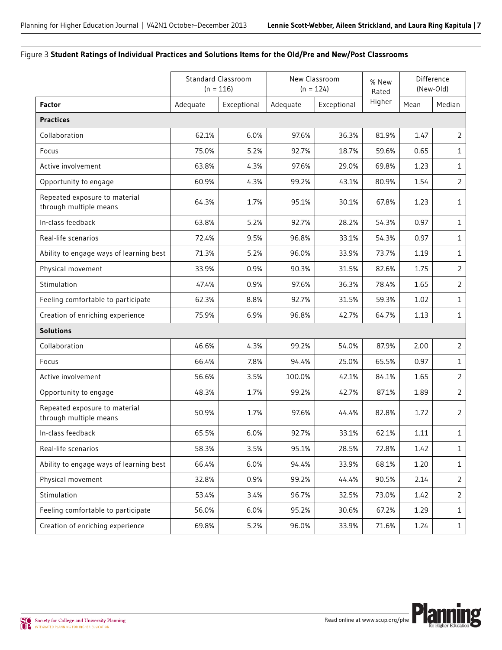### Figure 3 **Student Ratings of Individual Practices and Solutions Items for the Old/Pre and New/Post Classrooms**

|                                                         |                         | <b>Standard Classroom</b><br>$(n = 116)$ |          | New Classroom<br>$(n = 124)$ | % New<br>Rated | Difference<br>(New-Old) |                |
|---------------------------------------------------------|-------------------------|------------------------------------------|----------|------------------------------|----------------|-------------------------|----------------|
| <b>Factor</b>                                           | Adequate<br>Exceptional |                                          | Adequate | Exceptional                  | Higher         | Mean                    | Median         |
| <b>Practices</b>                                        |                         |                                          |          |                              |                |                         |                |
| Collaboration                                           | 62.1%                   | 6.0%                                     | 97.6%    | 36.3%                        | 81.9%          | 1.47                    | $\overline{2}$ |
| Focus                                                   | 75.0%                   | 5.2%                                     | 92.7%    | 18.7%                        | 59.6%          | 0.65                    | $\mathbf{1}$   |
| Active involvement                                      | 63.8%                   | 4.3%                                     | 97.6%    | 29.0%                        | 69.8%          | 1.23                    | $\mathbf{1}$   |
| Opportunity to engage                                   | 60.9%                   | 4.3%                                     | 99.2%    | 43.1%                        | 80.9%          | 1.54                    | $\overline{2}$ |
| Repeated exposure to material<br>through multiple means | 64.3%                   | 1.7%                                     | 95.1%    | 30.1%                        | 67.8%          | 1.23                    | $\mathbf{1}$   |
| In-class feedback                                       | 63.8%                   | 5.2%                                     | 92.7%    | 28.2%                        | 54.3%          | 0.97                    | $\mathbf{1}$   |
| Real-life scenarios                                     | 72.4%                   | 9.5%                                     | 96.8%    | 33.1%                        | 54.3%          | 0.97                    | $\mathbf{1}$   |
| Ability to engage ways of learning best                 | 71.3%                   | 5.2%                                     | 96.0%    | 33.9%                        | 73.7%          | 1.19                    | 1              |
| Physical movement                                       | 33.9%                   | 0.9%                                     | 90.3%    | 31.5%                        | 82.6%          | 1.75                    | $\overline{2}$ |
| Stimulation                                             | 47.4%                   | 0.9%                                     | 97.6%    | 36.3%                        | 78.4%          | 1.65                    | $\overline{2}$ |
| Feeling comfortable to participate                      | 62.3%                   | 8.8%                                     | 92.7%    | 31.5%                        | 59.3%          | 1.02                    | $\mathbf{1}$   |
| Creation of enriching experience                        | 75.9%                   | 6.9%                                     | 96.8%    | 42.7%                        | 64.7%          | 1.13                    | $\mathbf{1}$   |
| <b>Solutions</b>                                        |                         |                                          |          |                              |                |                         |                |
| Collaboration                                           | 46.6%                   | 4.3%                                     | 99.2%    | 54.0%                        | 87.9%          | 2.00                    | $\overline{2}$ |
| Focus                                                   | 66.4%                   | 7.8%                                     | 94.4%    | 25.0%                        | 65.5%          | 0.97                    | $\mathbf{1}$   |
| Active involvement                                      | 56.6%                   | 3.5%                                     | 100.0%   | 42.1%                        | 84.1%          | 1.65                    | $\overline{2}$ |
| Opportunity to engage                                   | 48.3%                   | 1.7%                                     | 99.2%    | 42.7%                        | 87.1%          | 1.89                    | $\overline{2}$ |
| Repeated exposure to material<br>through multiple means | 50.9%                   | 1.7%                                     | 97.6%    | 44.4%                        | 82.8%          | 1.72                    | $\overline{2}$ |
| In-class feedback                                       | 65.5%                   | 6.0%                                     | 92.7%    | 33.1%                        | 62.1%          | 1.11                    | $\mathbf{1}$   |
| Real-life scenarios                                     | 58.3%                   | 3.5%                                     | 95.1%    | 28.5%                        | 72.8%          | 1.42                    | $1\,$          |
| Ability to engage ways of learning best                 | 66.4%                   | 6.0%                                     | 94.4%    | 33.9%                        | 68.1%          | 1.20                    | $1\,$          |
| Physical movement                                       | 32.8%                   | 0.9%                                     | 99.2%    | 44.4%                        | 90.5%          | 2.14                    | $\overline{2}$ |
| Stimulation                                             | 53.4%                   | 3.4%                                     | 96.7%    | 32.5%                        | 73.0%          | 1.42                    | $\overline{2}$ |
| Feeling comfortable to participate                      | 56.0%                   | 6.0%                                     | 95.2%    | 30.6%                        | 67.2%          | 1.29                    | $1\,$          |
| Creation of enriching experience                        | 69.8%                   | 5.2%                                     | 96.0%    | 33.9%                        | 71.6%          | 1.24                    | $\mathbf{1}$   |

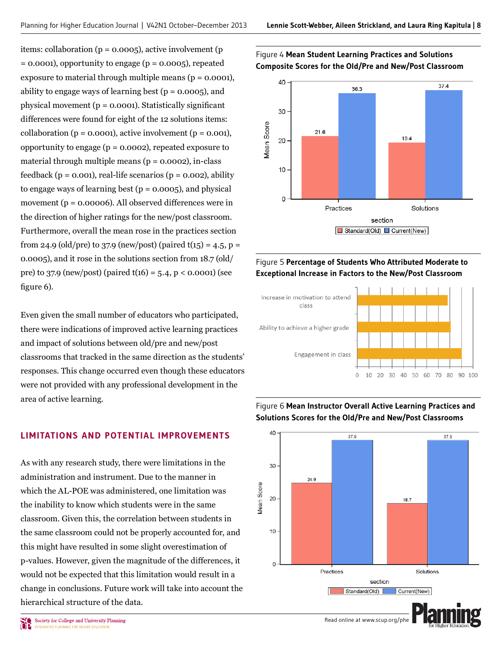items: collaboration ( $p = 0.0005$ ), active involvement ( $p = 0.0005$ )  $=$  0.0001), opportunity to engage ( $p = 0.0005$ ), repeated exposure to material through multiple means ( $p = 0.0001$ ), ability to engage ways of learning best ( $p = 0.0005$ ), and physical movement ( $p = 0.0001$ ). Statistically significant differences were found for eight of the 12 solutions items: collaboration ( $p = 0.0001$ ), active involvement ( $p = 0.001$ ), opportunity to engage ( $p = 0.0002$ ), repeated exposure to material through multiple means ( $p = 0.0002$ ), in-class feedback ( $p = 0.001$ ), real-life scenarios ( $p = 0.002$ ), ability to engage ways of learning best ( $p = 0.0005$ ), and physical movement ( $p = 0.00006$ ). All observed differences were in the direction of higher ratings for the new/post classroom. Furthermore, overall the mean rose in the practices section from 24.9 (old/pre) to 37.9 (new/post) (paired  $t(15) = 4.5$ , p = 0.0005), and it rose in the solutions section from 18.7 (old/ pre) to 37.9 (new/post) (paired  $t(16) = 5.4$ , p < 0.0001) (see figure  $6$ ).

Even given the small number of educators who participated, there were indications of improved active learning practices and impact of solutions between old/pre and new/post classrooms that tracked in the same direction as the students' responses. This change occurred even though these educators were not provided with any professional development in the area of active learning.

## **LIMITATIONS AND POTENTIAL IMPROVEMENTS**

As with any research study, there were limitations in the administration and instrument. Due to the manner in which the AL-POE was administered, one limitation was the inability to know which students were in the same classroom. Given this, the correlation between students in the same classroom could not be properly accounted for, and this might have resulted in some slight overestimation of p-values. However, given the magnitude of the differences, it would not be expected that this limitation would result in a change in conclusions. Future work will take into account the hierarchical structure of the data.





# Figure 5 **Percentage of Students Who Attributed Moderate to Exceptional Increase in Factors to the New/Post Classroom**





# Figure 6 **Mean Instructor Overall Active Learning Practices and Solutions Scores for the Old/Pre and New/Post Classrooms**

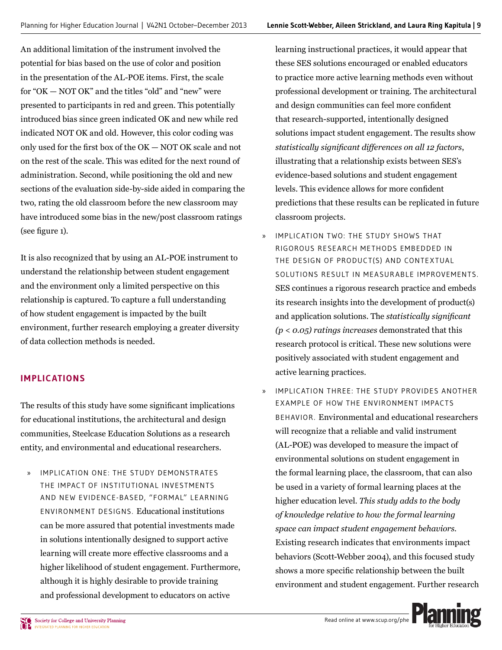An additional limitation of the instrument involved the potential for bias based on the use of color and position in the presentation of the AL-POE items. First, the scale for "OK — NOT OK" and the titles "old" and "new" were presented to participants in red and green. This potentially introduced bias since green indicated OK and new while red indicated NOT OK and old. However, this color coding was only used for the first box of the  $OK - NOT OK$  scale and not on the rest of the scale. This was edited for the next round of administration. Second, while positioning the old and new sections of the evaluation side-by-side aided in comparing the two, rating the old classroom before the new classroom may have introduced some bias in the new/post classroom ratings  $(see figure 1).$ 

It is also recognized that by using an AL-POE instrument to understand the relationship between student engagement and the environment only a limited perspective on this relationship is captured. To capture a full understanding of how student engagement is impacted by the built environment, further research employing a greater diversity of data collection methods is needed.

# **IMPLICATIONS**

The results of this study have some significant implications for educational institutions, the architectural and design communities, Steelcase Education Solutions as a research entity, and environmental and educational researchers.

» IMPLICATION ONE: THE STUDY DEMONSTR ATES THE IMPACT OF INSTITUTIONAL INVESTMENTS AND NEW EVIDENCE-BASED, "FORMAL" LEARNING ENVIRONMENT DESIGNS. Educational institutions can be more assured that potential investments made in solutions intentionally designed to support active learning will create more effective classrooms and a higher likelihood of student engagement. Furthermore, although it is highly desirable to provide training and professional development to educators on active

Learning instructional practices, it would appear that these SES solutions encouraged or enabled educators to practice more active learning methods even without professional development or training. The architectural and design communities can feel more confident that research-supported, intentionally designed solutions impact student engagement. The results show *statistically significant differences on all 12 factors,* illustrating that a relationship exists between SES's evidence-based solutions and student engagement levels. This evidence allows for more confident predictions that these results can be replicated in future classroom projects.

- » IMPLICATION TWO: THE STUDY SHOWS THAT RIGOROUS RESEARCH METHODS EMBEDDED IN THE DESIGN OF PRODUCT(S) AND CONTEXTUAL SOLUTIONS RESULT IN MEASURABLE IMPROVEMENTS. SES continues a rigorous research practice and embeds its research insights into the development of product(s) and application solutions. The *statistically significant (p < 0.05) ratings increases* demonstrated that this research protocol is critical. These new solutions were positively associated with student engagement and active learning practices.
- » IMPLICATION THREE: THE STUDY PROVIDES ANOTHER EXAMPLE OF HOW THE ENVIRONMENT IMPACTS BEHAVIOR. Environmental and educational researchers will recognize that a reliable and valid instrument (AL-POE) was developed to measure the impact of environmental solutions on student engagement in the formal learning place, the classroom, that can also be used in a variety of formal learning places at the higher education level. *This study adds to the body of knowledge relative to how the formal learning space can impact student engagement behaviors.* Existing research indicates that environments impact behaviors (Scott-Webber 2004), and this focused study shows a more specific relationship between the built environment and student engagement. Further research

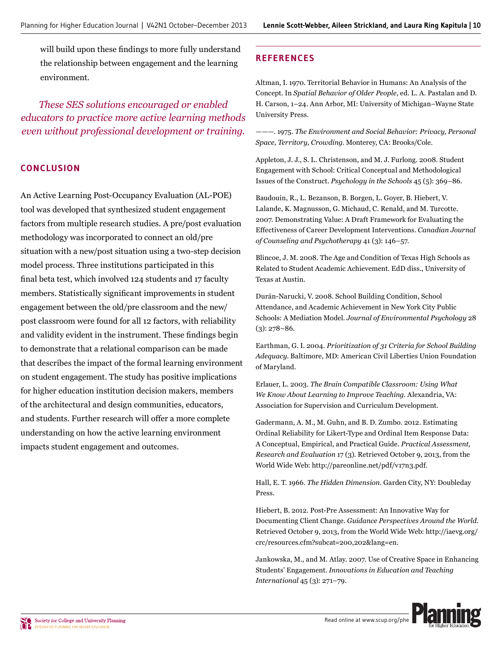will build upon these findings to more fully understand the relationship between engagement and the learning environment.

*These SES solutions encouraged or enabled educators to practice more active learning methods even without professional development or training.*

## **CONCLUSION**

An Active Learning Post-Occupancy Evaluation (AL-POE) tool was developed that synthesized student engagement factors from multiple research studies. A pre/post evaluation methodology was incorporated to connect an old/pre situation with a new/post situation using a two-step decision model process. Three institutions participated in this final beta test, which involved 124 students and 17 faculty members. Statistically significant improvements in student engagement between the old/pre classroom and the new/ post classroom were found for all 12 factors, with reliability and validity evident in the instrument. These findings begin to demonstrate that a relational comparison can be made that describes the impact of the formal learning environment on student engagement. The study has positive implications for higher education institution decision makers, members of the architectural and design communities, educators, and students. Further research will offer a more complete understanding on how the active learning environment impacts student engagement and outcomes.

# **REFERENCES**

Altman, I. 1970. Territorial Behavior in Humans: An Analysis of the Concept. In Spatial Behavior of Older People, ed. L. A. Pastalan and D. H. Carson, 1-24. Ann Arbor, MI: University of Michigan-Wayne State University Press.

 $---$ , 1975. The Environment and Social Behavior: Privacy, Personal *Space, Territory, Crowding. Monterey, CA: Brooks/Cole.* 

Appleton, J. J., S. L. Christenson, and M. J. Furlong. 2008. Student Engagement with School: Critical Conceptual and Methodological Issues of the Construct. *Psychology in the Schools* 45 (5): 369-86.

Baudouin, R., L. Bezanson, B. Borgen, L. Goyer, B. Hiebert, V. Lalande, K. Magnusson, G. Michaud, C. Renald, and M. Turcotte. 2007. Demonstrating Value: A Draft Framework for Evaluating the Effectiveness of Career Development Interventions. Canadian Journal *of Counseling and Psychotherapy 41 (3): 146-57.* 

Blincoe, J. M. 2008. The Age and Condition of Texas High Schools as Related to Student Academic Achievement. EdD diss., University of Texas at Austin.

Durán-Narucki, V. 2008. School Building Condition, School Attendance, and Academic Achievement in New York City Public Schools: A Mediation Model. Journal of Environmental Psychology 28  $(3): 278 - 86.$ 

Earthman, G. I. 2004. Prioritization of 31 Criteria for School Building Adequacy. Baltimore, MD: American Civil Liberties Union Foundation of Maryland.

Erlauer, L. 2003. The Brain Compatible Classroom: Using What *We Know About Learning to Improve Teaching. Alexandria, VA:* Association for Supervision and Curriculum Development.

Gadermann, A. M., M. Guhn, and B. D. Zumbo. 2012. Estimating Ordinal Reliability for Likert-Type and Ordinal Item Response Data:  $\Delta$  Conceptual, Empirical, and Practical Guide. Practical Assessment, *Research and Evaluation 17 (3). Retrieved October 9, 2013, from the* World Wide Web: http://pareonline.net/pdf/v17n3.pdf.

Hall, E. T. 1966. The Hidden Dimension. Garden City, NY: Doubleday Press.

Hiebert, B. 2012. Post-Pre Assessment: An Innovative Way for Documenting Client Change. Guidance Perspectives Around the World. Retrieved October 9, 2013, from the World Wide Web: http://iaevg.org/ crc/resources.cfm?subcat=200,202&lang=en.

Jankowska, M., and M. Atlay. 2007. Use of Creative Space in Enhancing Students' Engagement. *Innovations in Education and Teaching International* 45 (3): 271-79.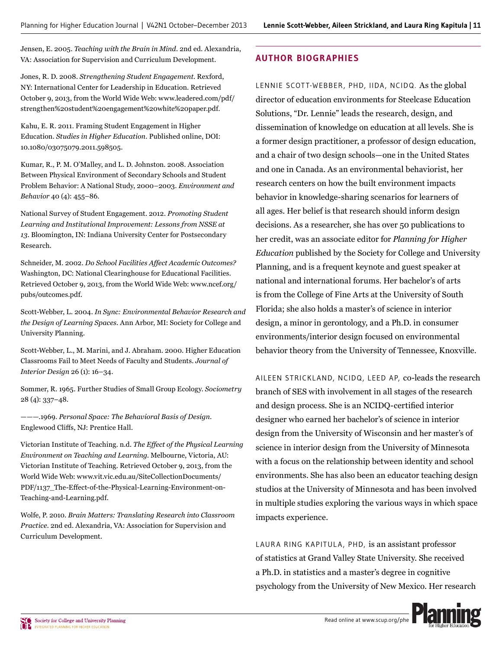Jensen, E. 2005. Teaching with the Brain in Mind. 2nd ed. Alexandria, VA: Association for Supervision and Curriculum Development.

Jones, R. D. 2008. Strengthening Student Engagement. Rexford, NY: International Center for Leadership in Education. Retrieved October 9, 2013, from the World Wide Web: www.leadered.com/pdf/ strengthen%20student%20engagement%20white%20paper.pdf.

Kahu, E. R. 2011. Framing Student Engagement in Higher Education. Studies in Higher Education. Published online, DOI: 10.1080/03075079.2011.598505.

Kumar, R., P. M. O'Malley, and L. D. Johnston. 2008. Association Between Physical Environment of Secondary Schools and Student Problem Behavior: A National Study, 2000-2003. Environment and Behavior 40 (4): 455-86.

National Survey of Student Engagement. 2012. Promoting Student Learning and Institutional Improvement: Lessons from NSSE at 13. Bloomington, IN: Indiana University Center for Postsecondary Research.

Schneider, M. 2002. Do School Facilities Affect Academic Outcomes? Washington, DC: National Clearinghouse for Educational Facilities. Retrieved October 9, 2013, from the World Wide Web: www.ncef.org/ pubs/outcomes.pdf.

Scott-Webber, L. 2004. In Sync: Environmental Behavior Research and the Design of Learning Spaces. Ann Arbor, MI: Society for College and University Planning.

Scott-Webber, L., M. Marini, and J. Abraham. 2000. Higher Education Classrooms Fail to Meet Needs of Faculty and Students. Journal of Interior Design  $26$  (1):  $16-34$ .

Sommer, R. 1965. Further Studies of Small Group Ecology. Sociometry  $28(4): 337 - 48.$ 

----1969. Personal Space: The Behavioral Basis of Design. Englewood Cliffs, NJ: Prentice Hall.

Victorian Institute of Teaching, n.d. The Effect of the Physical Learning Environment on Teaching and Learning. Melbourne, Victoria, AU: Victorian Institute of Teaching. Retrieved October 9, 2013, from the World Wide Web: www.vit.vic.edu.au/SiteCollectionDocuments/ PDF/1137\_The-Effect-of-the-Physical-Learning-Environment-on-Teaching-and-Learning.pdf.

Wolfe, P. 2010. Brain Matters: Translating Research into Classroom Practice. 2nd ed. Alexandria, VA: Association for Supervision and Curriculum Development.

# **AUTHOR BIOGRAPHIES**

LENNIE SCOTT-WEBBER, PHD, IIDA, NCIDQ. As the global director of education environments for Steelcase Education Solutions, "Dr. Lennie" leads the research, design, and dissemination of knowledge on education at all levels. She is a former design practitioner, a professor of design education, and a chair of two design schools—one in the United States and one in Canada. As an environmental behaviorist, her research centers on how the built environment impacts behavior in knowledge-sharing scenarios for learners of all ages. Her belief is that research should inform design decisions. As a researcher, she has over 50 publications to her credit, was an associate editor for Planning for Higher *Education* published by the Society for College and University Planning, and is a frequent keynote and guest speaker at national and international forums. Her bachelor's of arts is from the College of Fine Arts at the University of South Florida; she also holds a master's of science in interior design, a minor in gerontology, and a Ph.D. in consumer environments/interior design focused on environmental behavior theory from the University of Tennessee, Knoxville.

AILEEN STRICKLAND, NCIDQ, LEED AP, co-leads the research branch of SES with involvement in all stages of the research and design process. She is an NCIDQ-certified interior designer who earned her bachelor's of science in interior design from the University of Wisconsin and her master's of science in interior design from the University of Minnesota with a focus on the relationship between identity and school environments. She has also been an educator teaching design studios at the University of Minnesota and has been involved in multiple studies exploring the various ways in which space impacts experience.

LAURA RING KAPITULA, PHD, is an assistant professor of statistics at Grand Valley State University. She received a Ph.D. in statistics and a master's degree in cognitive psychology from the University of New Mexico. Her research